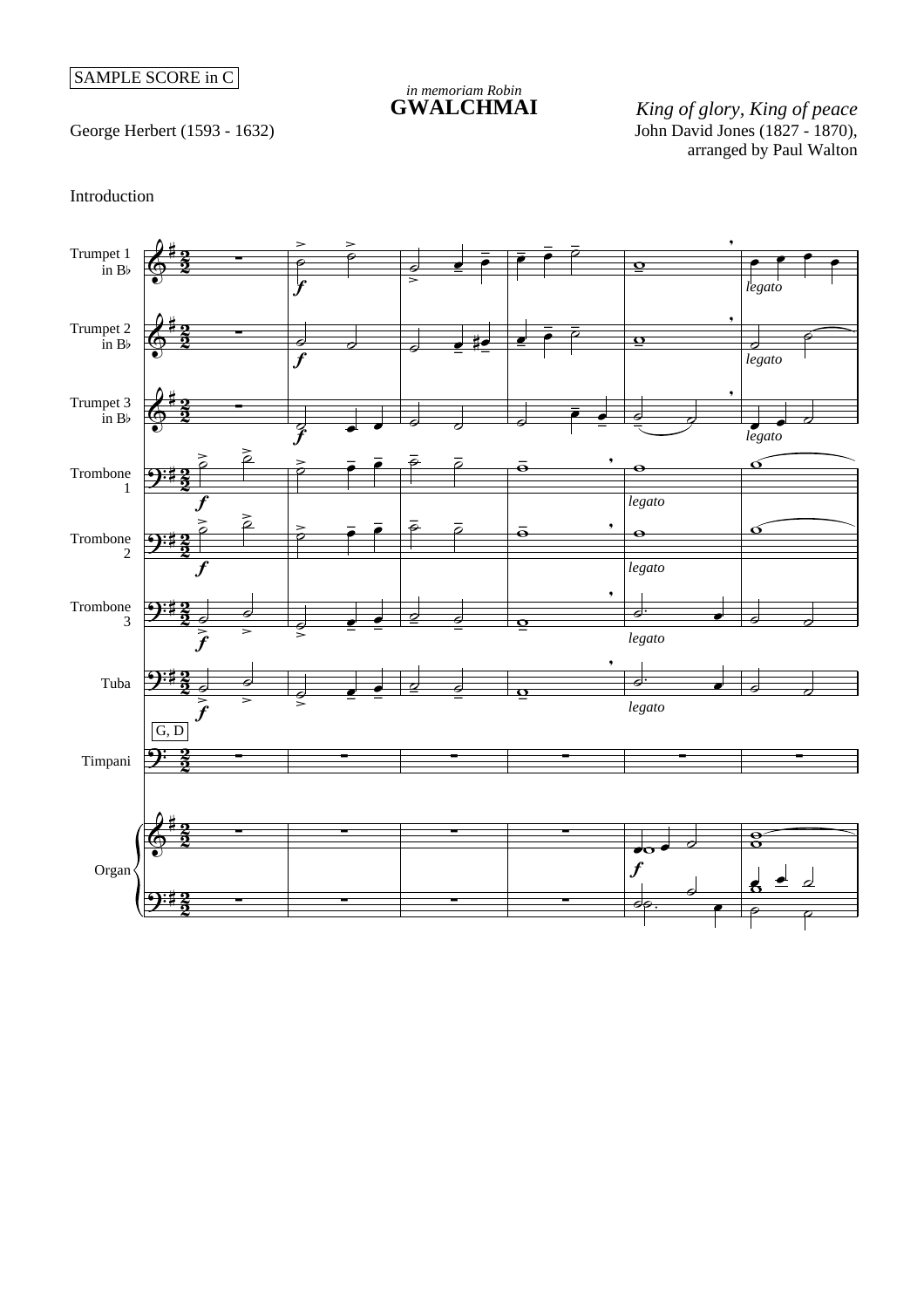George Herbert (1593 - 1632)

John David Jones (1827 - 1870), arranged by Paul Walton *King of glory, King of peace*

## Introduction



**GWALCHMAI**

*in memoriam Robin*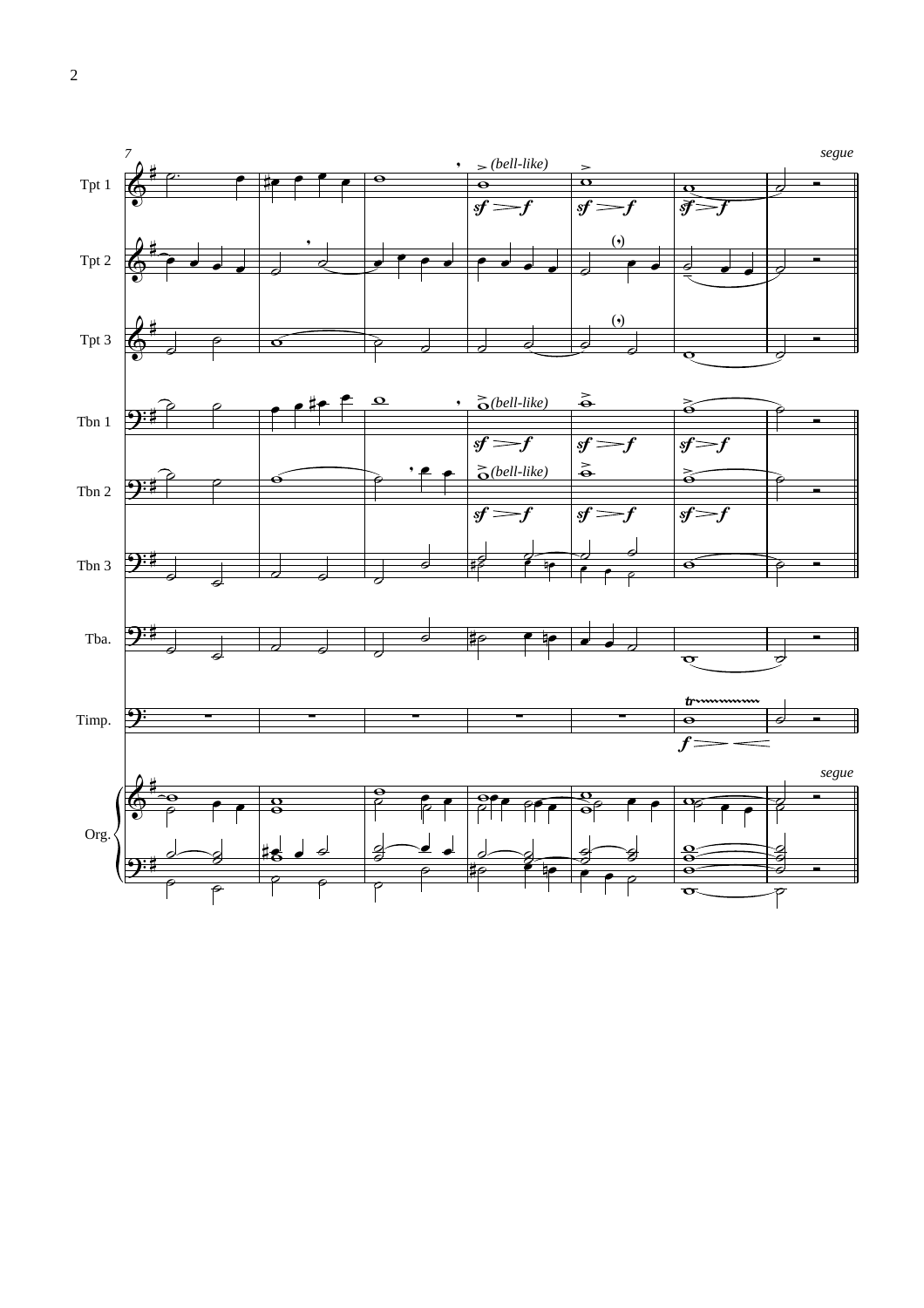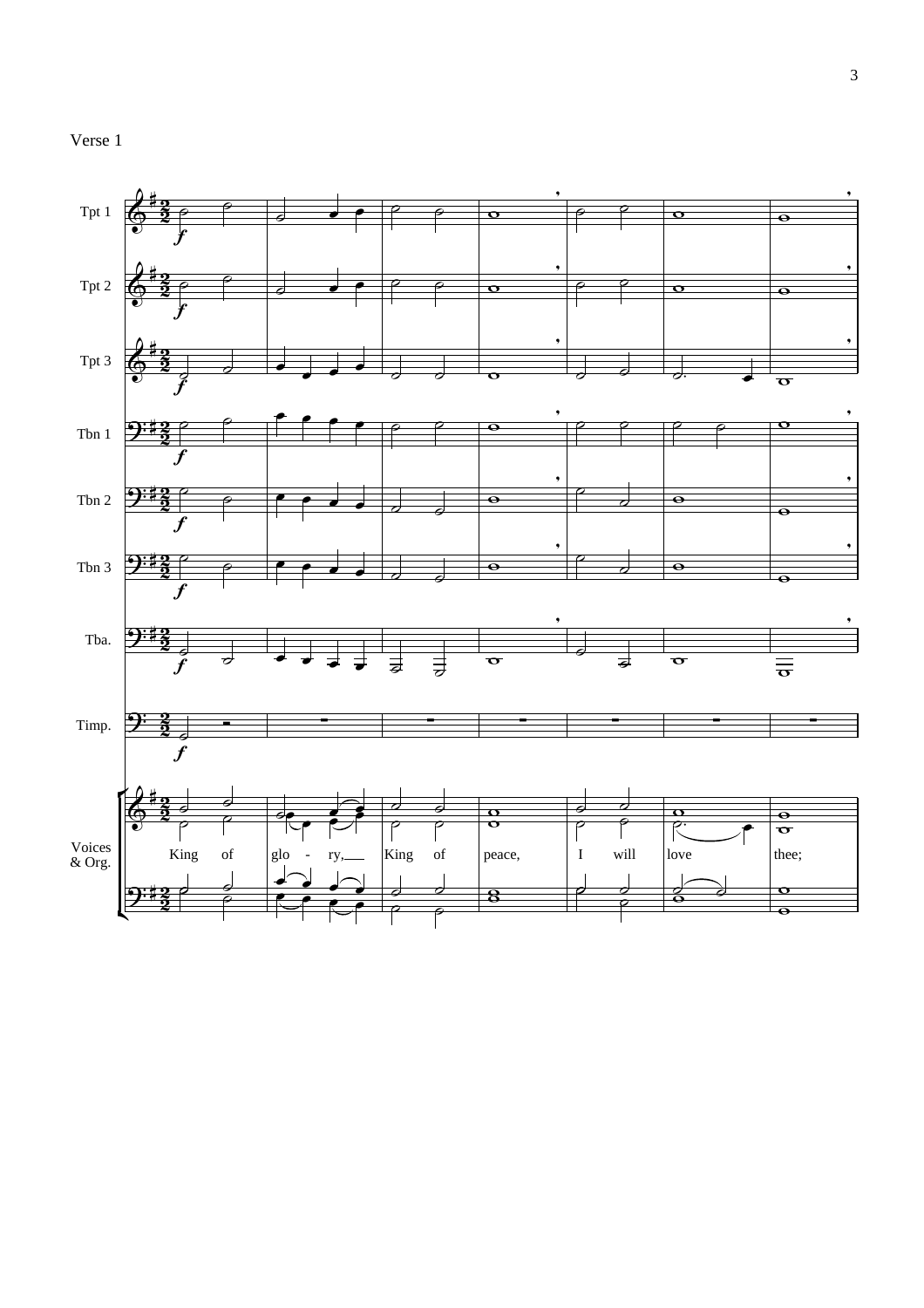

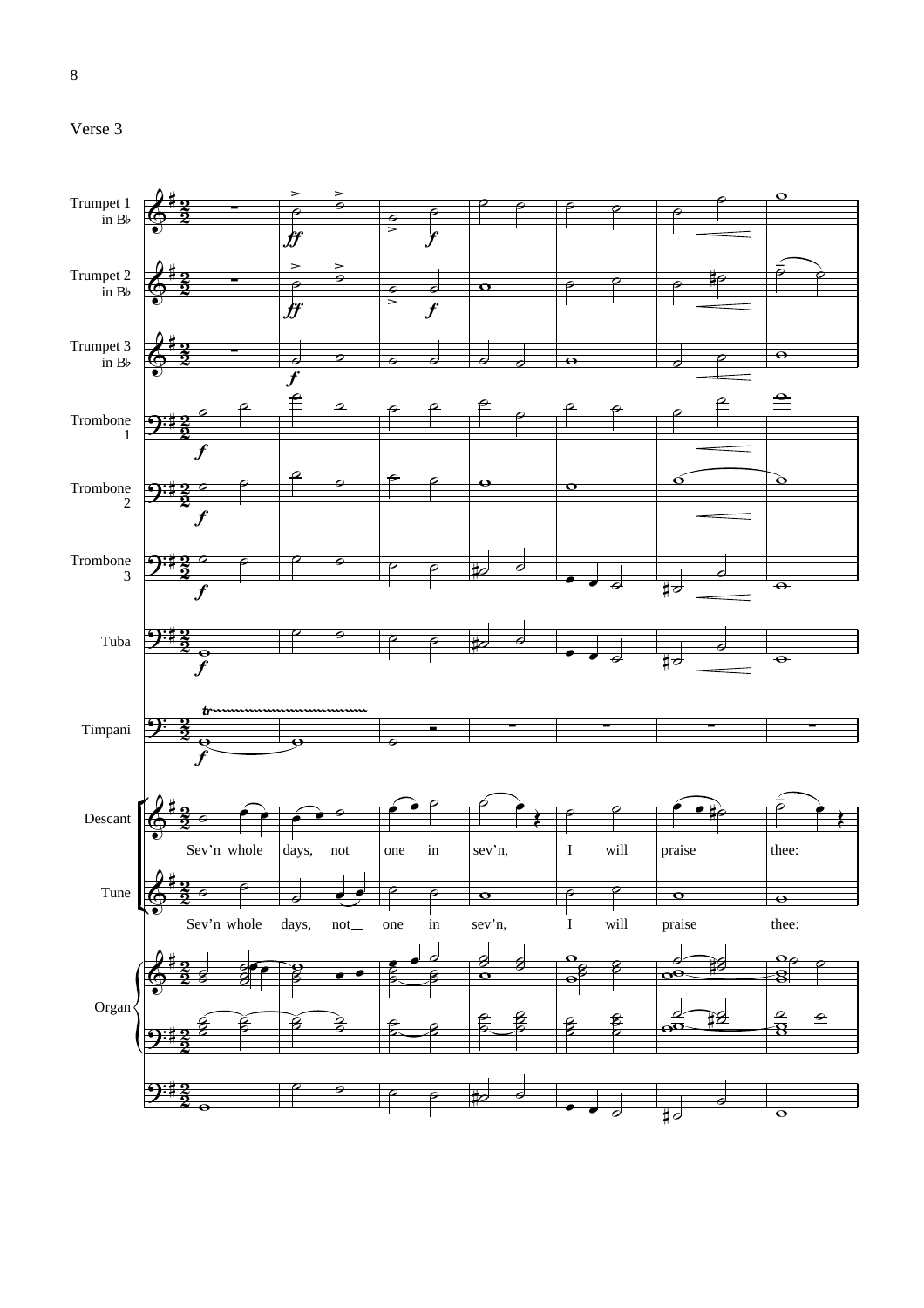



8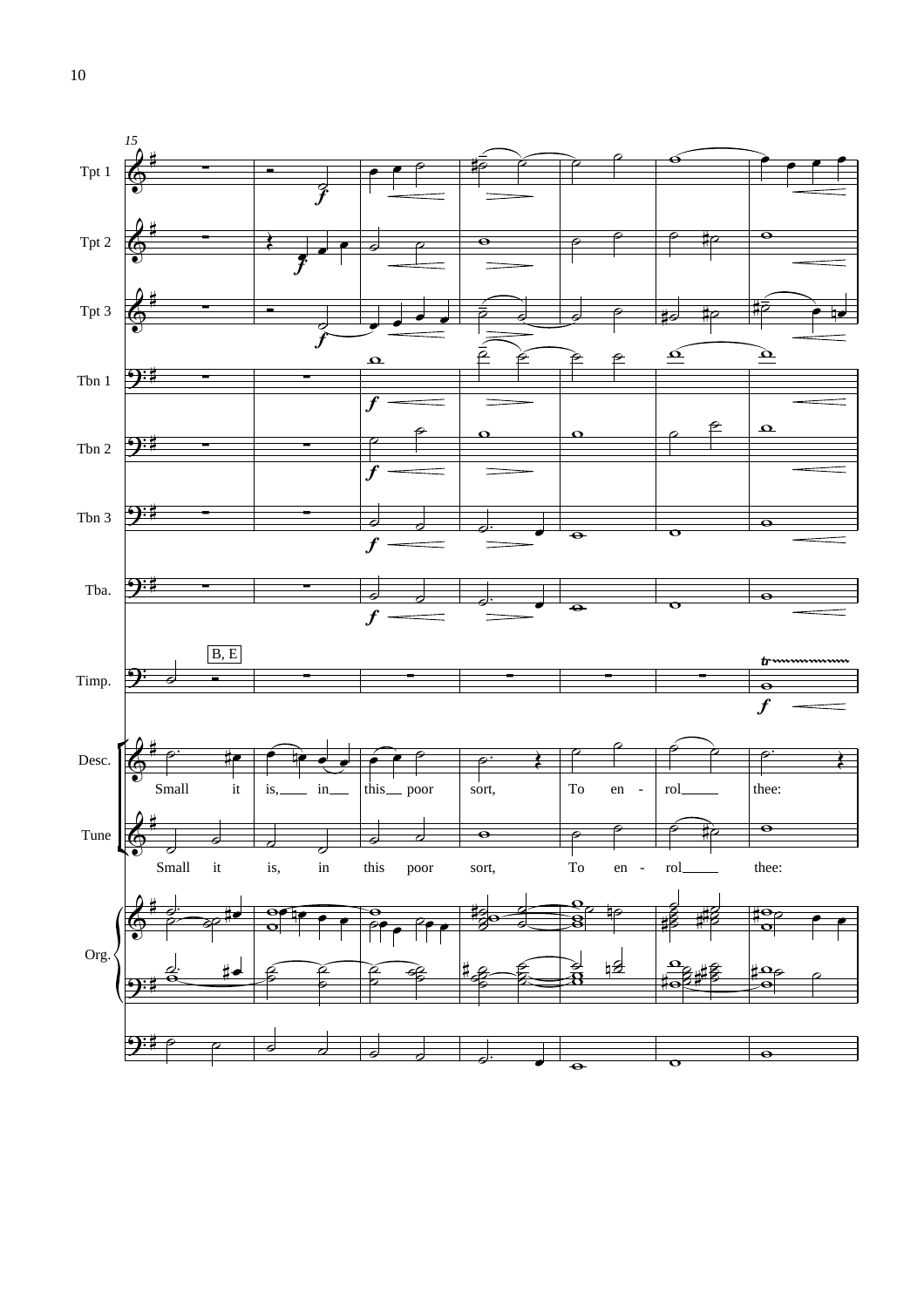